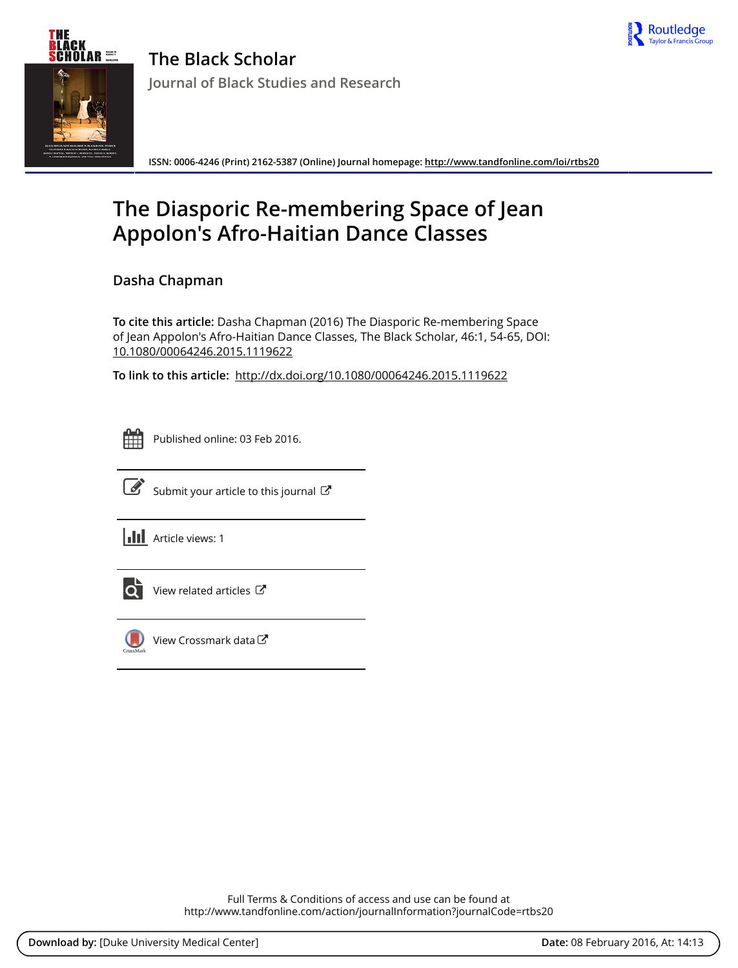



**The Black Scholar Journal of Black Studies and Research**

**ISSN: 0006-4246 (Print) 2162-5387 (Online) Journal homepage:<http://www.tandfonline.com/loi/rtbs20>**

# **The Diasporic Re-membering Space of Jean Appolon's Afro-Haitian Dance Classes**

**Dasha Chapman**

**To cite this article:** Dasha Chapman (2016) The Diasporic Re-membering Space of Jean Appolon's Afro-Haitian Dance Classes, The Black Scholar, 46:1, 54-65, DOI: [10.1080/00064246.2015.1119622](http://www.tandfonline.com/action/showCitFormats?doi=10.1080/00064246.2015.1119622)

**To link to this article:** <http://dx.doi.org/10.1080/00064246.2015.1119622>

| a.<br>-<br>_<br>- |  |  |  |  |  |
|-------------------|--|--|--|--|--|
|                   |  |  |  |  |  |
|                   |  |  |  |  |  |
|                   |  |  |  |  |  |

Published online: 03 Feb 2016.



 $\overline{\mathscr{L}}$  [Submit your article to this journal](http://www.tandfonline.com/action/authorSubmission?journalCode=rtbs20&page=instructions)  $\mathbb{Z}$ 

**III** Article views: 1



 $\overrightarrow{O}$  [View related articles](http://www.tandfonline.com/doi/mlt/10.1080/00064246.2015.1119622)  $\overrightarrow{C}$ 



[View Crossmark data](http://crossmark.crossref.org/dialog/?doi=10.1080/00064246.2015.1119622&domain=pdf&date_stamp=2016-02-03)  $\sigma$ 

Full Terms & Conditions of access and use can be found at <http://www.tandfonline.com/action/journalInformation?journalCode=rtbs20>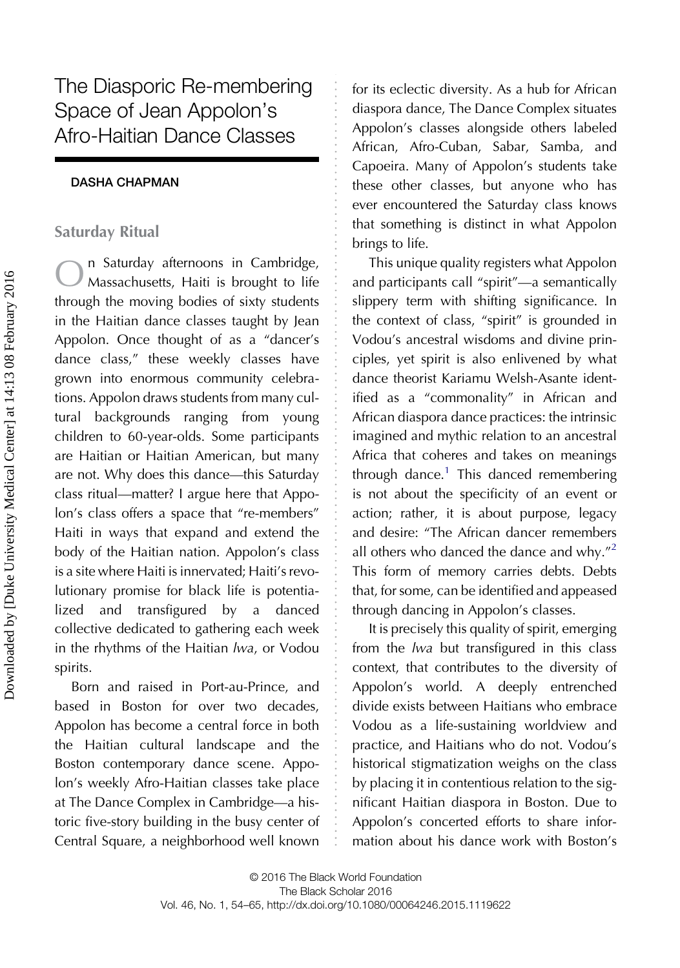# The Diasporic Re-membering Space of Jean Appolon's Afro-Haitian Dance Classes

#### DASHA CHAPMAN

#### Saturday Ritual

n Saturday afternoons in Cambridge, Massachusetts, Haiti is brought to life through the moving bodies of sixty students in the Haitian dance classes taught by Jean Appolon. Once thought of as a "dancer's dance class," these weekly classes have grown into enormous community celebrations. Appolon draws students from many cultural backgrounds ranging from young children to 60-year-olds. Some participants are Haitian or Haitian American, but many are not. Why does this dance—this Saturday class ritual—matter? I argue here that Appolon's class offers a space that "re-members" Haiti in ways that expand and extend the body of the Haitian nation. Appolon's class is a site where Haiti is innervated; Haiti's revolutionary promise for black life is potentialized and transfigured by a danced collective dedicated to gathering each week in the rhythms of the Haitian lwa, or Vodou spirits.

Born and raised in Port-au-Prince, and based in Boston for over two decades, Appolon has become a central force in both the Haitian cultural landscape and the Boston contemporary dance scene. Appolon's weekly Afro-Haitian classes take place at The Dance Complex in Cambridge—a historic five-story building in the busy center of Central Square, a neighborhood well known

for its eclectic diversity. As a hub for African diaspora dance, The Dance Complex situates Appolon's classes alongside others labeled African, Afro-Cuban, Sabar, Samba, and Capoeira. Many of Appolon's students take these other classes, but anyone who has ever encountered the Saturday class knows that something is distinct in what Appolon brings to life.

This unique quality registers what Appolon and participants call "spirit"—a semantically slippery term with shifting significance. In the context of class, "spirit" is grounded in Vodou's ancestral wisdoms and divine principles, yet spirit is also enlivened by what dance theorist Kariamu Welsh-Asante identified as a "commonality" in African and African diaspora dance practices: the intrinsic imagined and mythic relation to an ancestral Africa that coheres and takes on meanings through dance.<sup>[1](#page-10-0)</sup> This danced remembering is not about the specificity of an event or action; rather, it is about purpose, legacy and desire: "The African dancer remembers all others who danced the dance and why." $2$ This form of memory carries debts. Debts that, for some, can be identified and appeased through dancing in Appolon's classes.

It is precisely this quality of spirit, emerging from the *lwa* but transfigured in this class context, that contributes to the diversity of Appolon's world. A deeply entrenched divide exists between Haitians who embrace Vodou as a life-sustaining worldview and practice, and Haitians who do not. Vodou's historical stigmatization weighs on the class by placing it in contentious relation to the significant Haitian diaspora in Boston. Due to Appolon's concerted efforts to share information about his dance work with Boston's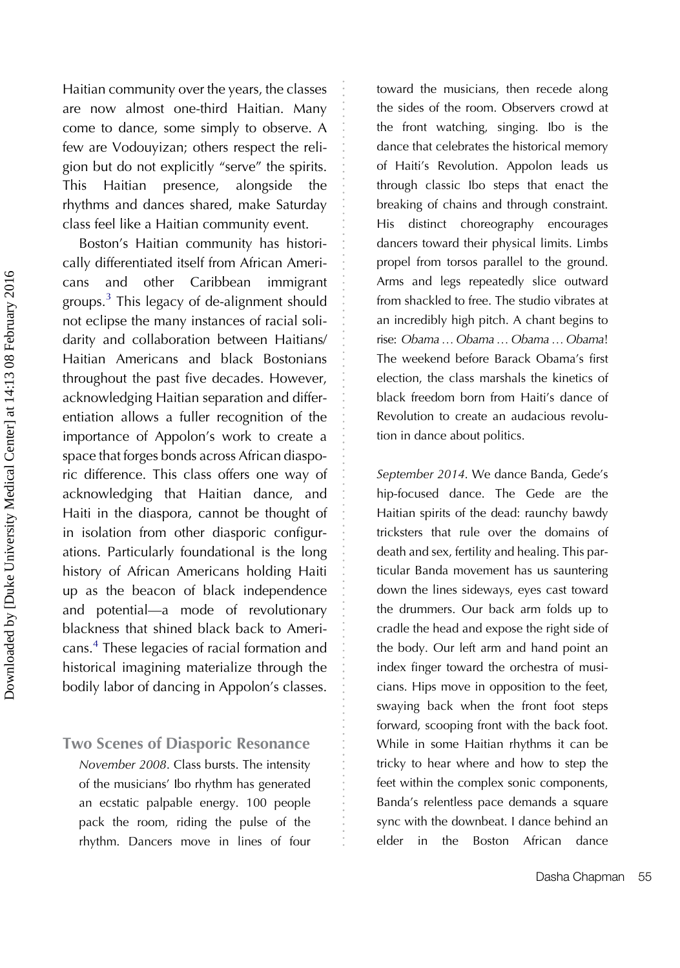Haitian community over the years, the classes are now almost one-third Haitian. Many come to dance, some simply to observe. A few are Vodouyizan; others respect the religion but do not explicitly "serve" the spirits. This Haitian presence, alongside the rhythms and dances shared, make Saturday class feel like a Haitian community event.

Boston's Haitian community has historically differentiated itself from African Americans and other Caribbean immigrant groups.<sup>[3](#page-10-0)</sup> This legacy of de-alignment should not eclipse the many instances of racial solidarity and collaboration between Haitians/ Haitian Americans and black Bostonians throughout the past five decades. However, acknowledging Haitian separation and differentiation allows a fuller recognition of the importance of Appolon's work to create a space that forges bonds across African diasporic difference. This class offers one way of acknowledging that Haitian dance, and Haiti in the diaspora, cannot be thought of in isolation from other diasporic configurations. Particularly foundational is the long history of African Americans holding Haiti up as the beacon of black independence and potential—a mode of revolutionary blackness that shined black back to Americans.[4](#page-10-0) These legacies of racial formation and historical imagining materialize through the bodily labor of dancing in Appolon's classes.

Two Scenes of Diasporic Resonance November 2008. Class bursts. The intensity of the musicians' Ibo rhythm has generated an ecstatic palpable energy. 100 people pack the room, riding the pulse of the rhythm. Dancers move in lines of four toward the musicians, then recede along the sides of the room. Observers crowd at the front watching, singing. Ibo is the dance that celebrates the historical memory of Haiti's Revolution. Appolon leads us through classic Ibo steps that enact the breaking of chains and through constraint. His distinct choreography encourages dancers toward their physical limits. Limbs propel from torsos parallel to the ground. Arms and legs repeatedly slice outward from shackled to free. The studio vibrates at an incredibly high pitch. A chant begins to rise: Obama ... Obama ... Obama ... Obama! The weekend before Barack Obama's first election, the class marshals the kinetics of black freedom born from Haiti's dance of Revolution to create an audacious revolution in dance about politics.

September 2014. We dance Banda, Gede's hip-focused dance. The Gede are the Haitian spirits of the dead: raunchy bawdy tricksters that rule over the domains of death and sex, fertility and healing. This particular Banda movement has us sauntering down the lines sideways, eyes cast toward the drummers. Our back arm folds up to cradle the head and expose the right side of the body. Our left arm and hand point an index finger toward the orchestra of musicians. Hips move in opposition to the feet, swaying back when the front foot steps forward, scooping front with the back foot. While in some Haitian rhythms it can be tricky to hear where and how to step the feet within the complex sonic components, Banda's relentless pace demands a square sync with the downbeat. I dance behind an elder in the Boston African dance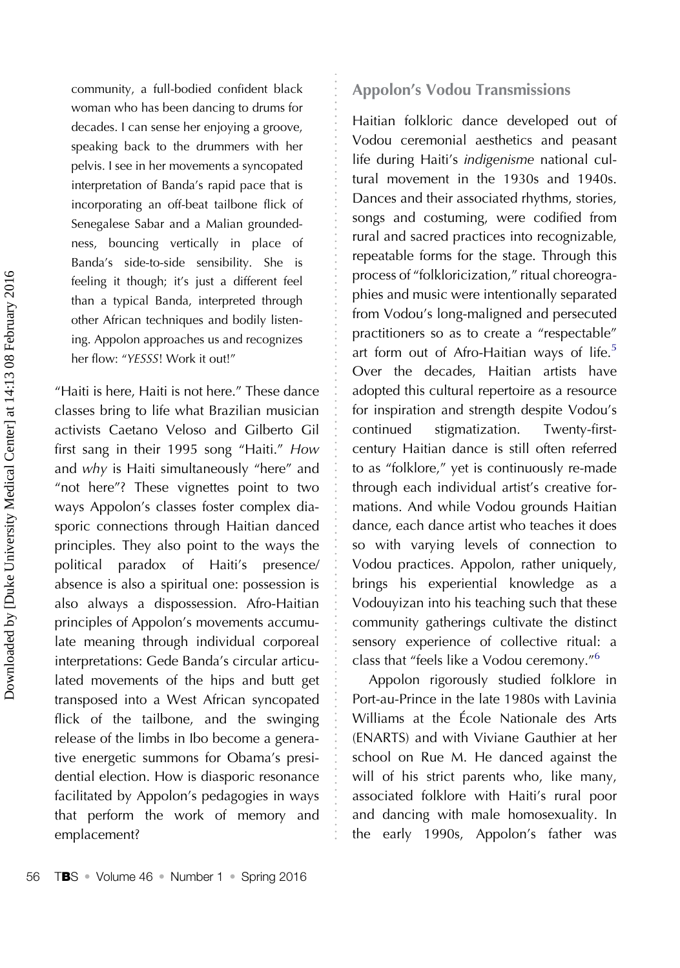community, a full-bodied confident black woman who has been dancing to drums for decades. I can sense her enjoying a groove, speaking back to the drummers with her pelvis. I see in her movements a syncopated interpretation of Banda's rapid pace that is incorporating an off-beat tailbone flick of Senegalese Sabar and a Malian groundedness, bouncing vertically in place of Banda's side-to-side sensibility. She is feeling it though; it's just a different feel than a typical Banda, interpreted through other African techniques and bodily listening. Appolon approaches us and recognizes her flow: "YESSS! Work it out!"

"Haiti is here, Haiti is not here." These dance classes bring to life what Brazilian musician activists Caetano Veloso and Gilberto Gil first sang in their 1995 song "Haiti." How and why is Haiti simultaneously "here" and "not here"? These vignettes point to two ways Appolon's classes foster complex diasporic connections through Haitian danced principles. They also point to the ways the political paradox of Haiti's presence/ absence is also a spiritual one: possession is also always a dispossession. Afro-Haitian principles of Appolon's movements accumulate meaning through individual corporeal interpretations: Gede Banda's circular articulated movements of the hips and butt get transposed into a West African syncopated flick of the tailbone, and the swinging release of the limbs in Ibo become a generative energetic summons for Obama's presidential election. How is diasporic resonance facilitated by Appolon's pedagogies in ways that perform the work of memory and emplacement?

### Appolon's Vodou Transmissions

Haitian folkloric dance developed out of Vodou ceremonial aesthetics and peasant life during Haiti's indigenisme national cultural movement in the 1930s and 1940s. Dances and their associated rhythms, stories, songs and costuming, were codified from rural and sacred practices into recognizable, repeatable forms for the stage. Through this process of "folkloricization," ritual choreographies and music were intentionally separated from Vodou's long-maligned and persecuted practitioners so as to create a "respectable" art form out of Afro-Haitian ways of life.<sup>[5](#page-10-0)</sup> Over the decades, Haitian artists have adopted this cultural repertoire as a resource for inspiration and strength despite Vodou's continued stigmatization. Twenty-firstcentury Haitian dance is still often referred to as "folklore," yet is continuously re-made through each individual artist's creative formations. And while Vodou grounds Haitian dance, each dance artist who teaches it does so with varying levels of connection to Vodou practices. Appolon, rather uniquely, brings his experiential knowledge as a Vodouyizan into his teaching such that these community gatherings cultivate the distinct sensory experience of collective ritual: a class that "feels like a Vodou ceremony." [6](#page-10-0)

Appolon rigorously studied folklore in Port-au-Prince in the late 1980s with Lavinia Williams at the École Nationale des Arts (ENARTS) and with Viviane Gauthier at her school on Rue M. He danced against the will of his strict parents who, like many, associated folklore with Haiti's rural poor and dancing with male homosexuality. In the early 1990s, Appolon's father was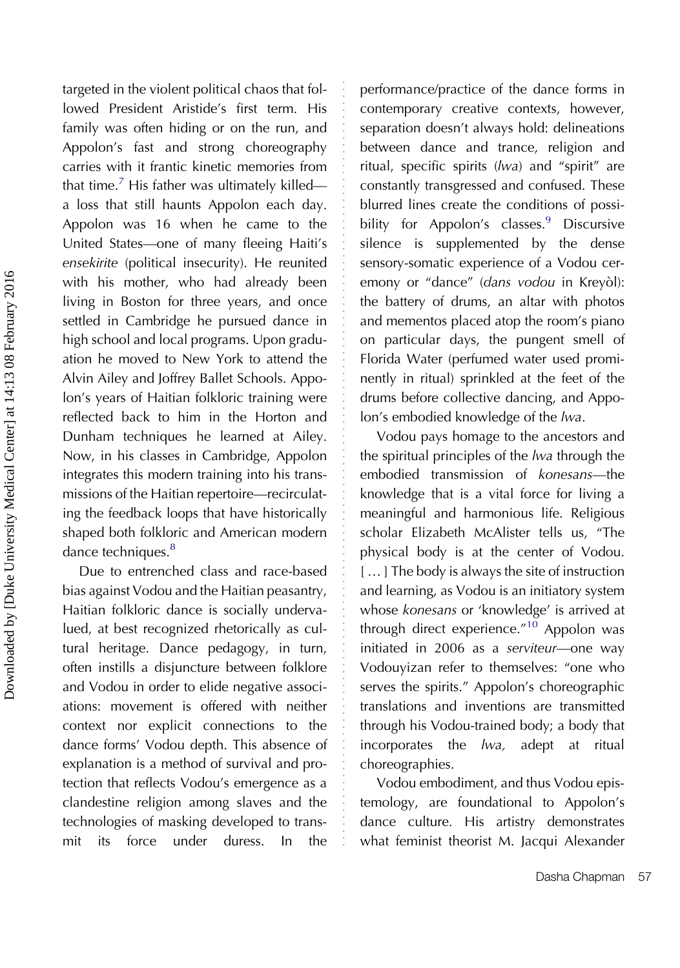targeted in the violent political chaos that followed President Aristide's first term. His family was often hiding or on the run, and Appolon's fast and strong choreography carries with it frantic kinetic memories from that time.<sup>[7](#page-10-0)</sup> His father was ultimately killed a loss that still haunts Appolon each day. Appolon was 16 when he came to the United States—one of many fleeing Haiti's ensekirite (political insecurity). He reunited with his mother, who had already been living in Boston for three years, and once settled in Cambridge he pursued dance in high school and local programs. Upon graduation he moved to New York to attend the Alvin Ailey and Joffrey Ballet Schools. Appolon's years of Haitian folkloric training were reflected back to him in the Horton and Dunham techniques he learned at Ailey. Now, in his classes in Cambridge, Appolon integrates this modern training into his transmissions of the Haitian repertoire—recirculating the feedback loops that have historically shaped both folkloric and American modern dance techniques.<sup>8</sup>

Due to entrenched class and race-based bias against Vodou and the Haitian peasantry, Haitian folkloric dance is socially undervalued, at best recognized rhetorically as cultural heritage. Dance pedagogy, in turn, often instills a disjuncture between folklore and Vodou in order to elide negative associations: movement is offered with neither context nor explicit connections to the dance forms' Vodou depth. This absence of explanation is a method of survival and protection that reflects Vodou's emergence as a clandestine religion among slaves and the technologies of masking developed to transmit its force under duress. In the

performance/practice of the dance forms in contemporary creative contexts, however, separation doesn't always hold: delineations between dance and trance, religion and ritual, specific spirits (lwa) and "spirit" are constantly transgressed and confused. These blurred lines create the conditions of possi-bility for Appolon's classes.<sup>[9](#page-10-0)</sup> Discursive silence is supplemented by the dense sensory-somatic experience of a Vodou ceremony or "dance" (dans vodou in Kreyòl): the battery of drums, an altar with photos and mementos placed atop the room's piano on particular days, the pungent smell of Florida Water (perfumed water used prominently in ritual) sprinkled at the feet of the drums before collective dancing, and Appolon's embodied knowledge of the lwa.

Vodou pays homage to the ancestors and the spiritual principles of the lwa through the embodied transmission of konesans—the knowledge that is a vital force for living a meaningful and harmonious life. Religious scholar Elizabeth McAlister tells us, "The physical body is at the center of Vodou. [ … ] The body is always the site of instruction and learning, as Vodou is an initiatory system whose konesans or 'knowledge' is arrived at through direct experience."<sup>[10](#page-10-0)</sup> Appolon was initiated in 2006 as a serviteur—one way Vodouyizan refer to themselves: "one who serves the spirits." Appolon's choreographic translations and inventions are transmitted through his Vodou-trained body; a body that incorporates the *lwa*, adept at ritual choreographies.

Vodou embodiment, and thus Vodou epistemology, are foundational to Appolon's dance culture. His artistry demonstrates what feminist theorist M. Jacqui Alexander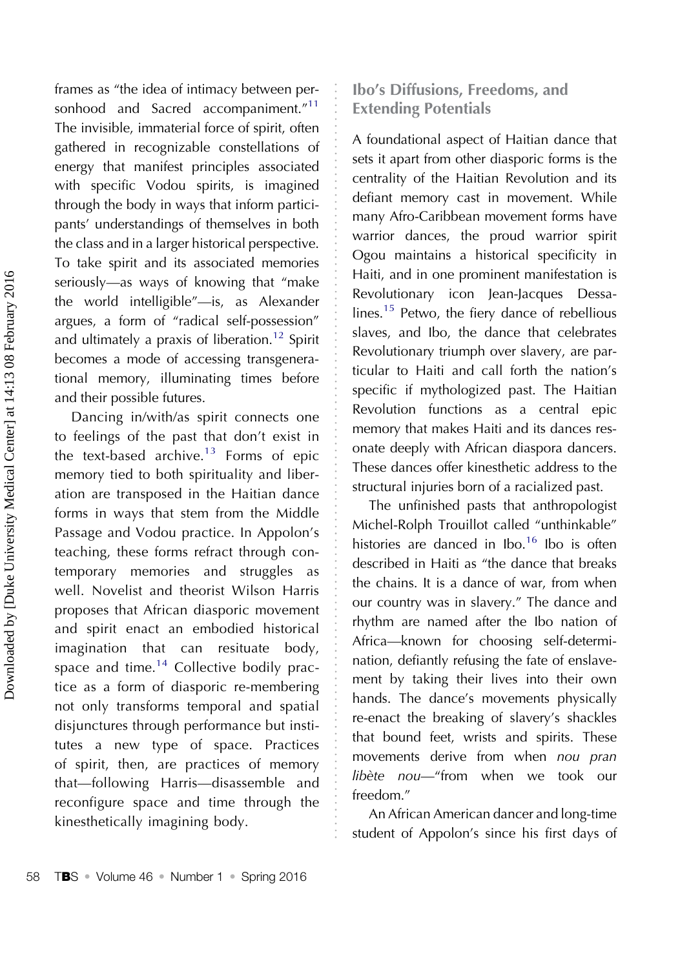frames as "the idea of intimacy between per-sonhood and Sacred accompaniment."<sup>[11](#page-10-0)</sup> The invisible, immaterial force of spirit, often gathered in recognizable constellations of energy that manifest principles associated with specific Vodou spirits, is imagined through the body in ways that inform participants' understandings of themselves in both the class and in a larger historical perspective. To take spirit and its associated memories seriously—as ways of knowing that "make the world intelligible"—is, as Alexander argues, a form of "radical self-possession" and ultimately a praxis of liberation.<sup>[12](#page-11-0)</sup> Spirit becomes a mode of accessing transgenerational memory, illuminating times before and their possible futures.

Dancing in/with/as spirit connects one to feelings of the past that don't exist in the text-based archive. $13$  Forms of epic memory tied to both spirituality and liberation are transposed in the Haitian dance forms in ways that stem from the Middle Passage and Vodou practice. In Appolon's teaching, these forms refract through contemporary memories and struggles as well. Novelist and theorist Wilson Harris proposes that African diasporic movement and spirit enact an embodied historical imagination that can resituate body, space and time. $14$  Collective bodily practice as a form of diasporic re-membering not only transforms temporal and spatial disjunctures through performance but institutes a new type of space. Practices of spirit, then, are practices of memory that—following Harris—disassemble and reconfigure space and time through the kinesthetically imagining body.

## Ibo's Diffusions, Freedoms, and Extending Potentials

A foundational aspect of Haitian dance that sets it apart from other diasporic forms is the centrality of the Haitian Revolution and its defiant memory cast in movement. While many Afro-Caribbean movement forms have warrior dances, the proud warrior spirit Ogou maintains a historical specificity in Haiti, and in one prominent manifestation is Revolutionary icon Jean-Jacques Dessa-lines.<sup>[15](#page-11-0)</sup> Petwo, the fiery dance of rebellious slaves, and Ibo, the dance that celebrates Revolutionary triumph over slavery, are particular to Haiti and call forth the nation's specific if mythologized past. The Haitian Revolution functions as a central epic memory that makes Haiti and its dances resonate deeply with African diaspora dancers. These dances offer kinesthetic address to the structural injuries born of a racialized past.

The unfinished pasts that anthropologist Michel-Rolph Trouillot called "unthinkable" histories are danced in Ibo.<sup>[16](#page-11-0)</sup> Ibo is often described in Haiti as "the dance that breaks the chains. It is a dance of war, from when our country was in slavery." The dance and rhythm are named after the Ibo nation of Africa—known for choosing self-determination, defiantly refusing the fate of enslavement by taking their lives into their own hands. The dance's movements physically re-enact the breaking of slavery's shackles that bound feet, wrists and spirits. These movements derive from when nou pran libète nou—"from when we took our freedom."

An African American dancer and long-time student of Appolon's since his first days of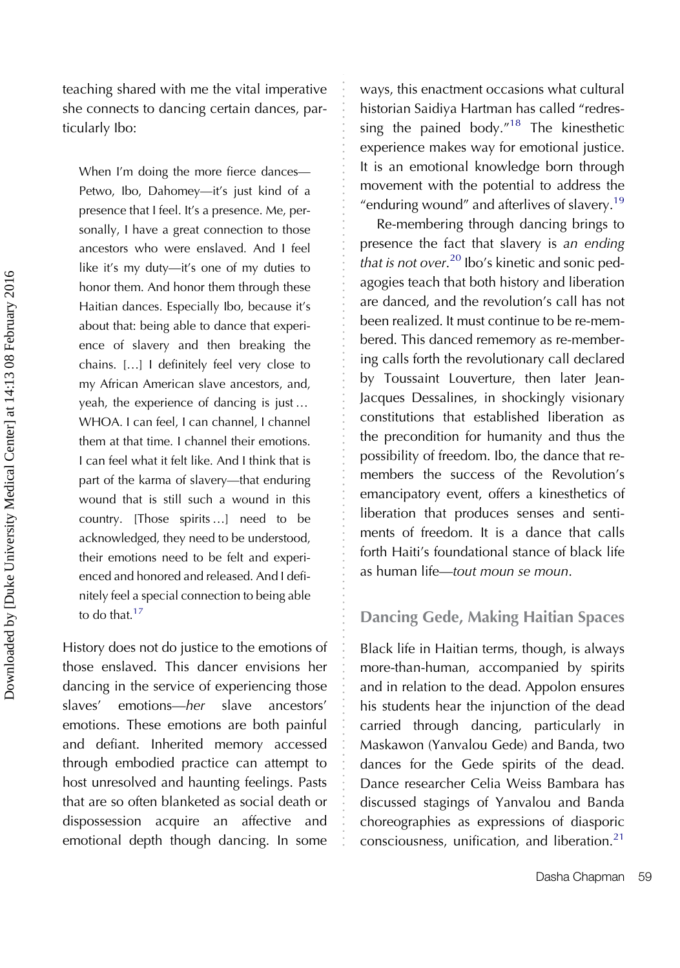teaching shared with me the vital imperative she connects to dancing certain dances, particularly Ibo:

When I'm doing the more fierce dances— Petwo, Ibo, Dahomey—it's just kind of a presence that I feel. It's a presence. Me, personally, I have a great connection to those ancestors who were enslaved. And I feel like it's my duty—it's one of my duties to honor them. And honor them through these Haitian dances. Especially Ibo, because it's about that: being able to dance that experience of slavery and then breaking the chains. […] I definitely feel very close to my African American slave ancestors, and, yeah, the experience of dancing is just … WHOA. I can feel, I can channel, I channel them at that time. I channel their emotions. I can feel what it felt like. And I think that is part of the karma of slavery—that enduring wound that is still such a wound in this country. [Those spirits …] need to be acknowledged, they need to be understood, their emotions need to be felt and experienced and honored and released. And I definitely feel a special connection to being able to do that. $17$ 

History does not do justice to the emotions of those enslaved. This dancer envisions her dancing in the service of experiencing those slaves' emotions—her slave ancestors' emotions. These emotions are both painful and defiant. Inherited memory accessed through embodied practice can attempt to host unresolved and haunting feelings. Pasts that are so often blanketed as social death or dispossession acquire an affective and emotional depth though dancing. In some

ways, this enactment occasions what cultural historian Saidiya Hartman has called "redres-sing the pained body."<sup>[18](#page-11-0)</sup> The kinesthetic experience makes way for emotional justice. It is an emotional knowledge born through movement with the potential to address the "enduring wound" and afterlives of slavery.<sup>[19](#page-11-0)</sup>

Re-membering through dancing brings to presence the fact that slavery is an ending that is not over.<sup>[20](#page-11-0)</sup> Ibo's kinetic and sonic pedagogies teach that both history and liberation are danced, and the revolution's call has not been realized. It must continue to be re-membered. This danced rememory as re-membering calls forth the revolutionary call declared by Toussaint Louverture, then later Jean-Jacques Dessalines, in shockingly visionary constitutions that established liberation as the precondition for humanity and thus the possibility of freedom. Ibo, the dance that remembers the success of the Revolution's emancipatory event, offers a kinesthetics of liberation that produces senses and sentiments of freedom. It is a dance that calls forth Haiti's foundational stance of black life as human life—tout moun se moun.

#### Dancing Gede, Making Haitian Spaces

Black life in Haitian terms, though, is always more-than-human, accompanied by spirits and in relation to the dead. Appolon ensures his students hear the injunction of the dead carried through dancing, particularly in Maskawon (Yanvalou Gede) and Banda, two dances for the Gede spirits of the dead. Dance researcher Celia Weiss Bambara has discussed stagings of Yanvalou and Banda choreographies as expressions of diasporic consciousness, unification, and liberation.<sup>[21](#page-11-0)</sup>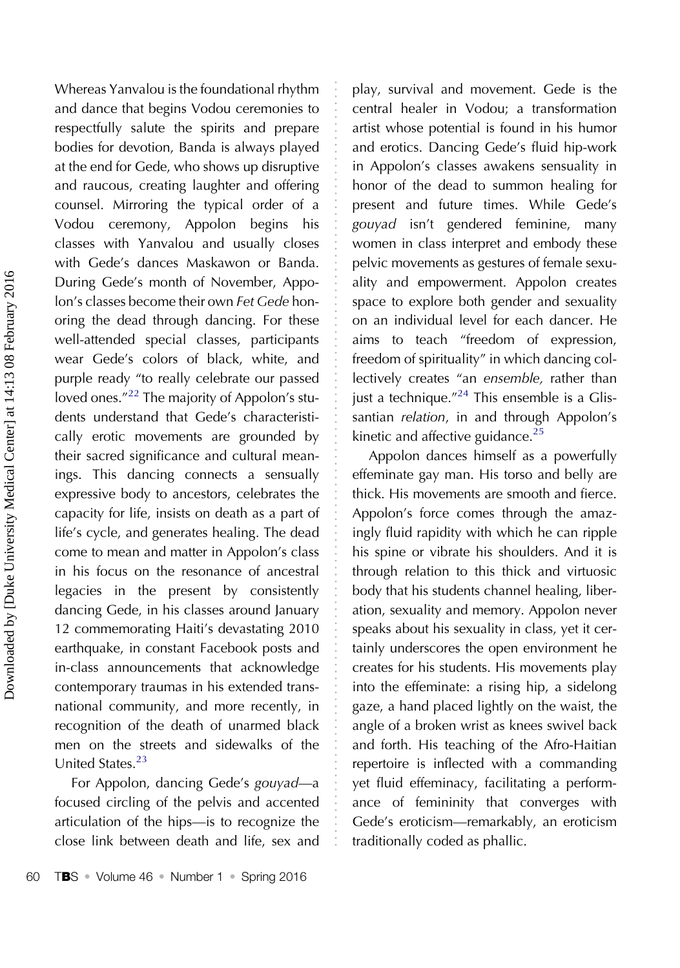Whereas Yanvalou is the foundational rhythm and dance that begins Vodou ceremonies to respectfully salute the spirits and prepare bodies for devotion, Banda is always played at the end for Gede, who shows up disruptive and raucous, creating laughter and offering counsel. Mirroring the typical order of a Vodou ceremony, Appolon begins his classes with Yanvalou and usually closes with Gede's dances Maskawon or Banda. During Gede's month of November, Appolon's classes become their own Fet Gede honoring the dead through dancing. For these well-attended special classes, participants wear Gede's colors of black, white, and purple ready "to really celebrate our passed loved ones."<sup>[22](#page-11-0)</sup> The majority of Appolon's students understand that Gede's characteristically erotic movements are grounded by their sacred significance and cultural meanings. This dancing connects a sensually expressive body to ancestors, celebrates the capacity for life, insists on death as a part of life's cycle, and generates healing. The dead come to mean and matter in Appolon's class in his focus on the resonance of ancestral legacies in the present by consistently dancing Gede, in his classes around January 12 commemorating Haiti's devastating 2010 earthquake, in constant Facebook posts and in-class announcements that acknowledge contemporary traumas in his extended transnational community, and more recently, in recognition of the death of unarmed black men on the streets and sidewalks of the United States.<sup>[23](#page-11-0)</sup>

For Appolon, dancing Gede's gouyad—a focused circling of the pelvis and accented articulation of the hips—is to recognize the close link between death and life, sex and

60 TBS • Volume 46 • Number 1 • Spring 2016

play, survival and movement. Gede is the central healer in Vodou; a transformation artist whose potential is found in his humor and erotics. Dancing Gede's fluid hip-work in Appolon's classes awakens sensuality in honor of the dead to summon healing for present and future times. While Gede's gouyad isn't gendered feminine, many women in class interpret and embody these pelvic movements as gestures of female sexuality and empowerment. Appolon creates space to explore both gender and sexuality on an individual level for each dancer. He aims to teach "freedom of expression, freedom of spirituality" in which dancing collectively creates "an ensemble, rather than just a technique."<sup>[24](#page-11-0)</sup> This ensemble is a Glissantian relation, in and through Appolon's kinetic and affective guidance.<sup>[25](#page-11-0)</sup>

Appolon dances himself as a powerfully effeminate gay man. His torso and belly are thick. His movements are smooth and fierce. Appolon's force comes through the amazingly fluid rapidity with which he can ripple his spine or vibrate his shoulders. And it is through relation to this thick and virtuosic body that his students channel healing, liberation, sexuality and memory. Appolon never speaks about his sexuality in class, yet it certainly underscores the open environment he creates for his students. His movements play into the effeminate: a rising hip, a sidelong gaze, a hand placed lightly on the waist, the angle of a broken wrist as knees swivel back and forth. His teaching of the Afro-Haitian repertoire is inflected with a commanding yet fluid effeminacy, facilitating a performance of femininity that converges with Gede's eroticism—remarkably, an eroticism traditionally coded as phallic.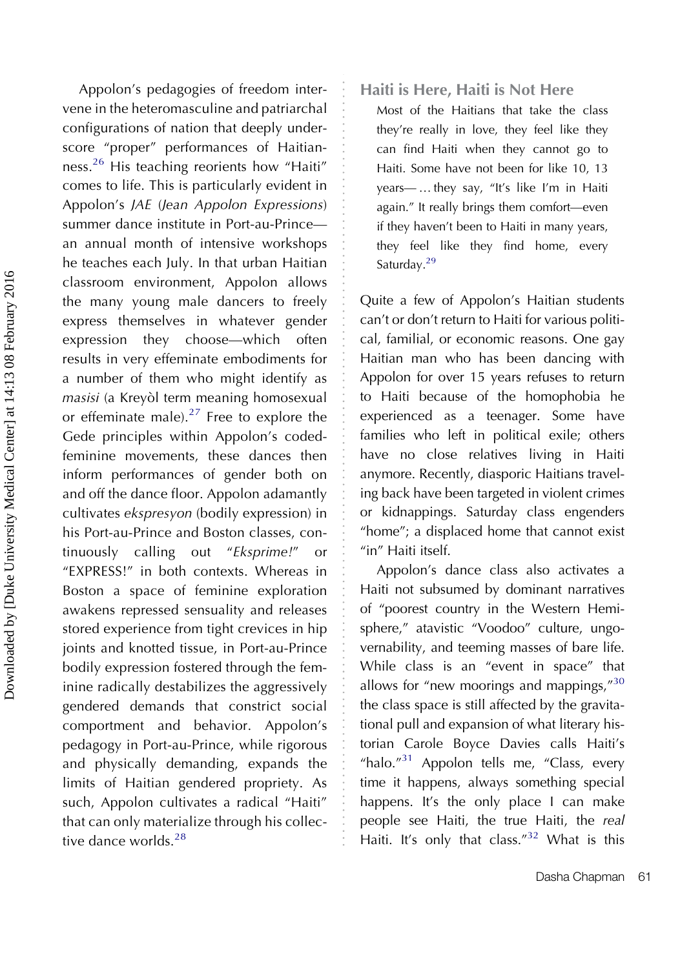Appolon's pedagogies of freedom intervene in the heteromasculine and patriarchal configurations of nation that deeply underscore "proper" performances of Haitianness.[26](#page-11-0) His teaching reorients how "Haiti" comes to life. This is particularly evident in Appolon's JAE (Jean Appolon Expressions) summer dance institute in Port-au-Prince an annual month of intensive workshops he teaches each July. In that urban Haitian classroom environment, Appolon allows the many young male dancers to freely express themselves in whatever gender expression they choose—which often results in very effeminate embodiments for a number of them who might identify as masisi (a Kreyòl term meaning homosexual or effeminate male).<sup>[27](#page-11-0)</sup> Free to explore the Gede principles within Appolon's codedfeminine movements, these dances then inform performances of gender both on and off the dance floor. Appolon adamantly cultivates ekspresyon (bodily expression) in his Port-au-Prince and Boston classes, continuously calling out "Eksprime!" "EXPRESS!" in both contexts. Whereas in Boston a space of feminine exploration awakens repressed sensuality and releases stored experience from tight crevices in hip joints and knotted tissue, in Port-au-Prince bodily expression fostered through the feminine radically destabilizes the aggressively gendered demands that constrict social comportment and behavior. Appolon's pedagogy in Port-au-Prince, while rigorous and physically demanding, expands the limits of Haitian gendered propriety. As such, Appolon cultivates a radical "Haiti" that can only materialize through his collec-tive dance worlds.<sup>[28](#page-11-0)</sup>

#### Haiti is Here, Haiti is Not Here

Most of the Haitians that take the class they're really in love, they feel like they can find Haiti when they cannot go to Haiti. Some have not been for like 10, 13 years— … they say, "It's like I'm in Haiti again." It really brings them comfort—even if they haven't been to Haiti in many years, they feel like they find home, every Saturday.<sup>29</sup>

Quite a few of Appolon's Haitian students can't or don't return to Haiti for various political, familial, or economic reasons. One gay Haitian man who has been dancing with Appolon for over 15 years refuses to return to Haiti because of the homophobia he experienced as a teenager. Some have families who left in political exile; others have no close relatives living in Haiti anymore. Recently, diasporic Haitians traveling back have been targeted in violent crimes or kidnappings. Saturday class engenders "home"; a displaced home that cannot exist "in" Haiti itself.

Appolon's dance class also activates a Haiti not subsumed by dominant narratives of "poorest country in the Western Hemisphere," atavistic "Voodoo" culture, ungovernability, and teeming masses of bare life. While class is an "event in space" that allows for "new moorings and mappings,"<sup>[30](#page-11-0)</sup> the class space is still affected by the gravitational pull and expansion of what literary historian Carole Boyce Davies calls Haiti's "halo." $31$  Appolon tells me, "Class, every time it happens, always something special happens. It's the only place I can make people see Haiti, the true Haiti, the real Haiti. It's only that class."<sup>[32](#page-12-0)</sup> What is this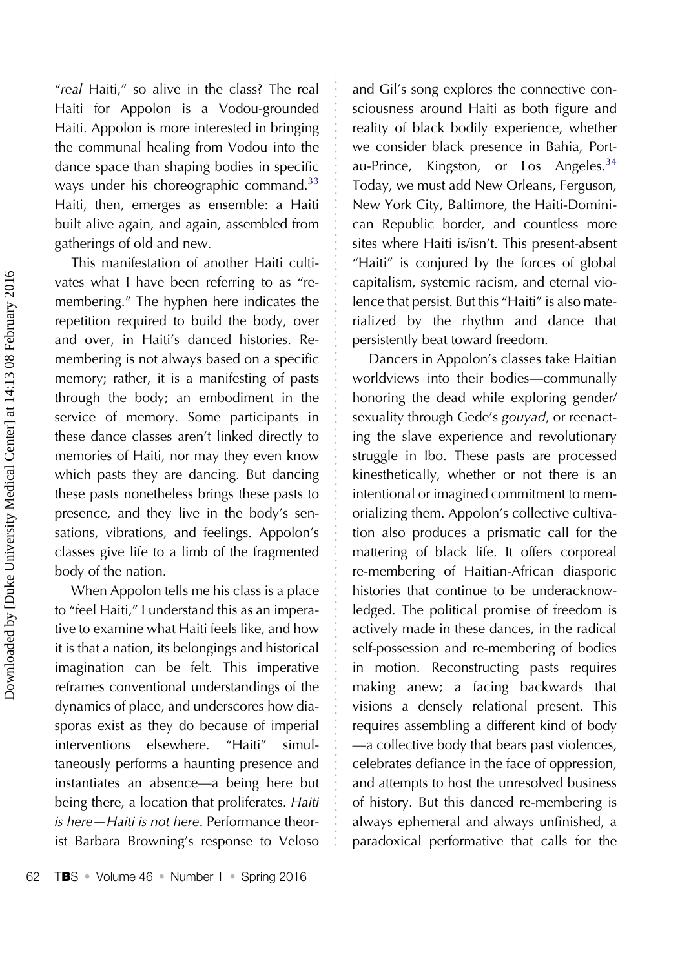"real Haiti," so alive in the class? The real Haiti for Appolon is a Vodou-grounded Haiti. Appolon is more interested in bringing the communal healing from Vodou into the dance space than shaping bodies in specific ways under his choreographic command.<sup>33</sup> Haiti, then, emerges as ensemble: a Haiti built alive again, and again, assembled from gatherings of old and new.

This manifestation of another Haiti cultivates what I have been referring to as "remembering." The hyphen here indicates the repetition required to build the body, over and over, in Haiti's danced histories. Remembering is not always based on a specific memory; rather, it is a manifesting of pasts through the body; an embodiment in the service of memory. Some participants in these dance classes aren't linked directly to memories of Haiti, nor may they even know which pasts they are dancing. But dancing these pasts nonetheless brings these pasts to presence, and they live in the body's sensations, vibrations, and feelings. Appolon's classes give life to a limb of the fragmented body of the nation.

When Appolon tells me his class is a place to "feel Haiti," I understand this as an imperative to examine what Haiti feels like, and how it is that a nation, its belongings and historical imagination can be felt. This imperative reframes conventional understandings of the dynamics of place, and underscores how diasporas exist as they do because of imperial interventions elsewhere. "Haiti" simultaneously performs a haunting presence and instantiates an absence—a being here but being there, a location that proliferates. Haiti is here—Haiti is not here. Performance theorist Barbara Browning's response to Veloso

and Gil's song explores the connective consciousness around Haiti as both figure and reality of black bodily experience, whether we consider black presence in Bahia, Port-au-Prince, Kingston, or Los Angeles.<sup>[34](#page-12-0)</sup> Today, we must add New Orleans, Ferguson, New York City, Baltimore, the Haiti-Dominican Republic border, and countless more sites where Haiti is/isn't. This present-absent "Haiti" is conjured by the forces of global capitalism, systemic racism, and eternal violence that persist. But this "Haiti" is also materialized by the rhythm and dance that persistently beat toward freedom.

Dancers in Appolon's classes take Haitian worldviews into their bodies—communally honoring the dead while exploring gender/ sexuality through Gede's gouyad, or reenacting the slave experience and revolutionary struggle in Ibo. These pasts are processed kinesthetically, whether or not there is an intentional or imagined commitment to memorializing them. Appolon's collective cultivation also produces a prismatic call for the mattering of black life. It offers corporeal re-membering of Haitian-African diasporic histories that continue to be underacknowledged. The political promise of freedom is actively made in these dances, in the radical self-possession and re-membering of bodies in motion. Reconstructing pasts requires making anew; a facing backwards that visions a densely relational present. This requires assembling a different kind of body —a collective body that bears past violences, celebrates defiance in the face of oppression, and attempts to host the unresolved business of history. But this danced re-membering is always ephemeral and always unfinished, a paradoxical performative that calls for the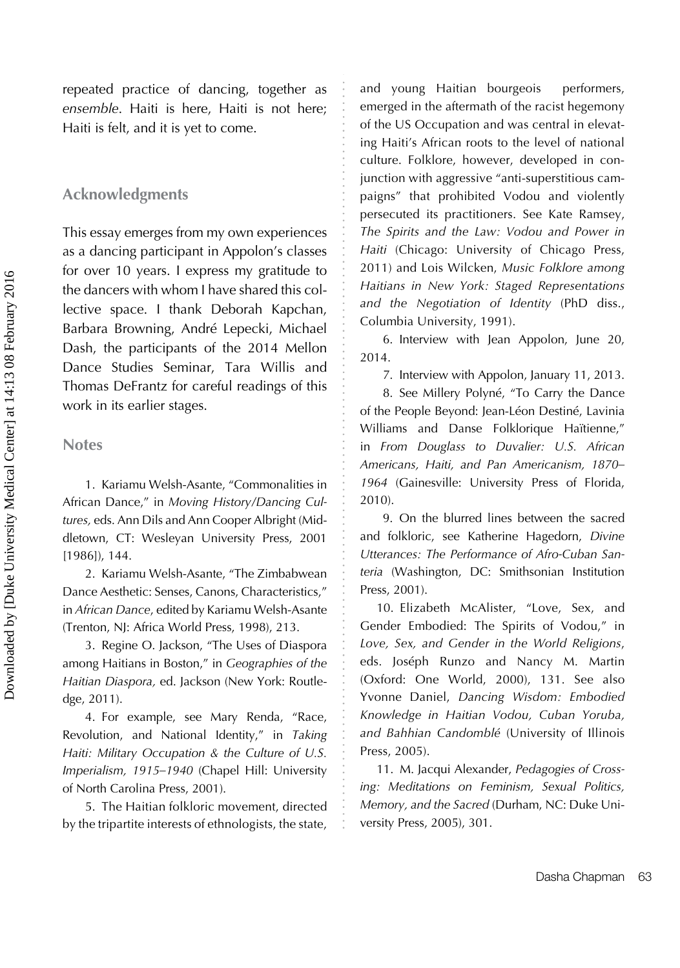<span id="page-10-0"></span>repeated practice of dancing, together as ensemble. Haiti is here, Haiti is not here; Haiti is felt, and it is yet to come.

### Acknowledgments

This essay emerges from my own experiences as a dancing participant in Appolon's classes for over 10 years. I express my gratitude to the dancers with whom I have shared this collective space. I thank Deborah Kapchan, Barbara Browning, André Lepecki, Michael Dash, the participants of the 2014 Mellon Dance Studies Seminar, Tara Willis and Thomas DeFrantz for careful readings of this work in its earlier stages.

#### Notes

1. Kariamu Welsh-Asante, "Commonalities in African Dance," in Moving History/Dancing Cultures, eds. Ann Dils and Ann Cooper Albright (Middletown, CT: Wesleyan University Press, 2001 [1986]), 144.

2. Kariamu Welsh-Asante, "The Zimbabwean Dance Aesthetic: Senses, Canons, Characteristics," in African Dance, edited by Kariamu Welsh-Asante (Trenton, NJ: Africa World Press, 1998), 213.

3. Regine O. Jackson, "The Uses of Diaspora among Haitians in Boston," in Geographies of the Haitian Diaspora, ed. Jackson (New York: Routledge, 2011).

4. For example, see Mary Renda, "Race, Revolution, and National Identity," in Taking Haiti: Military Occupation & the Culture of U.S. Imperialism, 1915–1940 (Chapel Hill: University of North Carolina Press, 2001).

5. The Haitian folkloric movement, directed by the tripartite interests of ethnologists, the state, and young Haitian bourgeois performers, emerged in the aftermath of the racist hegemony of the US Occupation and was central in elevating Haiti's African roots to the level of national culture. Folklore, however, developed in conjunction with aggressive "anti-superstitious campaigns" that prohibited Vodou and violently persecuted its practitioners. See Kate Ramsey, The Spirits and the Law: Vodou and Power in Haiti (Chicago: University of Chicago Press, 2011) and Lois Wilcken, Music Folklore among Haitians in New York: Staged Representations and the Negotiation of Identity (PhD diss., Columbia University, 1991).

6. Interview with Jean Appolon, June 20, 2014.

7. Interview with Appolon, January 11, 2013.

8. See Millery Polyné, "To Carry the Dance of the People Beyond: Jean-Léon Destiné, Lavinia Williams and Danse Folklorique Haïtienne," in From Douglass to Duvalier: U.S. African Americans, Haiti, and Pan Americanism, 1870– 1964 (Gainesville: University Press of Florida, 2010).

9. On the blurred lines between the sacred and folkloric, see Katherine Hagedorn, Divine Utterances: The Performance of Afro-Cuban Santeria (Washington, DC: Smithsonian Institution Press, 2001).

10. Elizabeth McAlister, "Love, Sex, and Gender Embodied: The Spirits of Vodou," in Love, Sex, and Gender in the World Religions, eds. Joséph Runzo and Nancy M. Martin (Oxford: One World, 2000), 131. See also Yvonne Daniel, Dancing Wisdom: Embodied Knowledge in Haitian Vodou, Cuban Yoruba, and Bahhian Candomblé (University of Illinois Press, 2005).

11. M. Jacqui Alexander, Pedagogies of Crossing: Meditations on Feminism, Sexual Politics, Memory, and the Sacred (Durham, NC: Duke University Press, 2005), 301.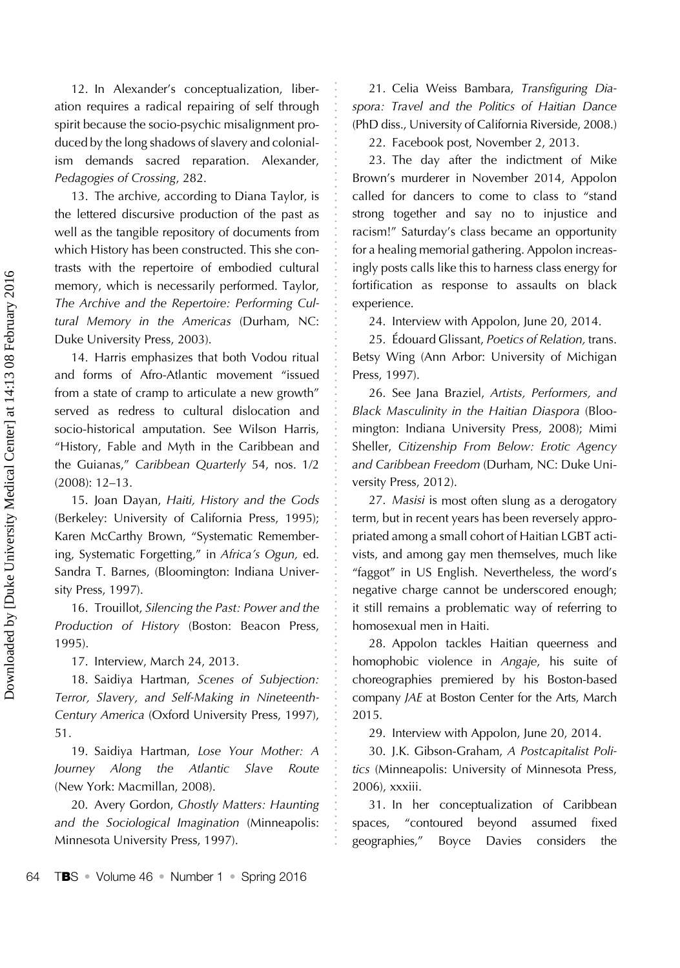<span id="page-11-0"></span>12. In Alexander's conceptualization, liberation requires a radical repairing of self through spirit because the socio-psychic misalignment produced by the long shadows of slavery and colonialism demands sacred reparation. Alexander, Pedagogies of Crossing, 282.

13. The archive, according to Diana Taylor, is the lettered discursive production of the past as well as the tangible repository of documents from which History has been constructed. This she contrasts with the repertoire of embodied cultural memory, which is necessarily performed. Taylor, The Archive and the Repertoire: Performing Cultural Memory in the Americas (Durham, NC: Duke University Press, 2003).

14. Harris emphasizes that both Vodou ritual and forms of Afro-Atlantic movement "issued from a state of cramp to articulate a new growth" served as redress to cultural dislocation and socio-historical amputation. See Wilson Harris, "History, Fable and Myth in the Caribbean and the Guianas," Caribbean Quarterly 54, nos. 1/2 (2008): 12–13.

15. Joan Dayan, Haiti, History and the Gods (Berkeley: University of California Press, 1995); Karen McCarthy Brown, "Systematic Remembering, Systematic Forgetting," in Africa's Ogun, ed. Sandra T. Barnes, (Bloomington: Indiana University Press, 1997).

16. Trouillot, Silencing the Past: Power and the Production of History (Boston: Beacon Press, 1995).

17. Interview, March 24, 2013.

18. Saidiya Hartman, Scenes of Subjection: Terror, Slavery, and Self-Making in Nineteenth-Century America (Oxford University Press, 1997), 51.

19. Saidiya Hartman, Lose Your Mother: A Journey Along the Atlantic Slave Route (New York: Macmillan, 2008).

20. Avery Gordon, Ghostly Matters: Haunting and the Sociological Imagination (Minneapolis: Minnesota University Press, 1997).

21. Celia Weiss Bambara, Transfiguring Diaspora: Travel and the Politics of Haitian Dance (PhD diss., University of California Riverside, 2008.)

22. Facebook post, November 2, 2013.

23. The day after the indictment of Mike Brown's murderer in November 2014, Appolon called for dancers to come to class to "stand strong together and say no to injustice and racism!" Saturday's class became an opportunity for a healing memorial gathering. Appolon increasingly posts calls like this to harness class energy for fortification as response to assaults on black experience.

24. Interview with Appolon, June 20, 2014.

25. Édouard Glissant, Poetics of Relation, trans. Betsy Wing (Ann Arbor: University of Michigan Press, 1997).

26. See Jana Braziel, Artists, Performers, and Black Masculinity in the Haitian Diaspora (Bloomington: Indiana University Press, 2008); Mimi Sheller, Citizenship From Below: Erotic Agency and Caribbean Freedom (Durham, NC: Duke University Press, 2012).

27. Masisi is most often slung as a derogatory term, but in recent years has been reversely appropriated among a small cohort of Haitian LGBT activists, and among gay men themselves, much like "faggot" in US English. Nevertheless, the word's negative charge cannot be underscored enough; it still remains a problematic way of referring to homosexual men in Haiti.

28. Appolon tackles Haitian queerness and homophobic violence in Angaje, his suite of choreographies premiered by his Boston-based company JAE at Boston Center for the Arts, March 2015.

29. Interview with Appolon, June 20, 2014.

30. J.K. Gibson-Graham, A Postcapitalist Politics (Minneapolis: University of Minnesota Press, 2006), xxxiii.

31. In her conceptualization of Caribbean spaces, "contoured beyond assumed fixed geographies," Boyce Davies considers the